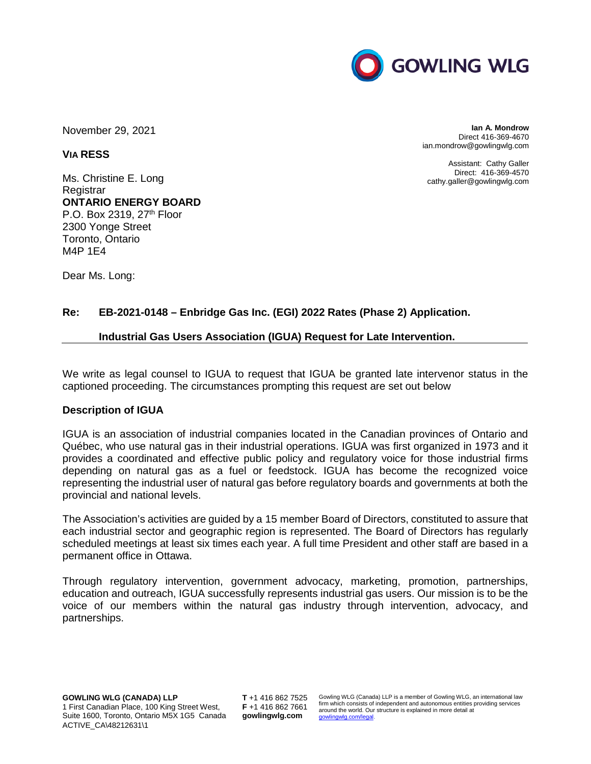

November 29, 2021

**VIA RESS**

Ms. Christine E. Long **Registrar ONTARIO ENERGY BOARD**  P.O. Box 2319,  $27<sup>th</sup>$  Floor 2300 Yonge Street Toronto, Ontario M4P 1E4

Dear Ms. Long:

**Ian A. Mondrow** Direct 416-369-4670 ian.mondrow@gowlingwlg.com

Assistant: Cathy Galler Direct: 416-369-4570 cathy.galler@gowlingwlg.com

# **Re: EB-2021-0148 – Enbridge Gas Inc. (EGI) 2022 Rates (Phase 2) Application.**

# **Industrial Gas Users Association (IGUA) Request for Late Intervention.**

We write as legal counsel to IGUA to request that IGUA be granted late intervenor status in the captioned proceeding. The circumstances prompting this request are set out below

# **Description of IGUA**

IGUA is an association of industrial companies located in the Canadian provinces of Ontario and Québec, who use natural gas in their industrial operations. IGUA was first organized in 1973 and it provides a coordinated and effective public policy and regulatory voice for those industrial firms depending on natural gas as a fuel or feedstock. IGUA has become the recognized voice representing the industrial user of natural gas before regulatory boards and governments at both the provincial and national levels.

The Association's activities are guided by a 15 member Board of Directors, constituted to assure that each industrial sector and geographic region is represented. The Board of Directors has regularly scheduled meetings at least six times each year. A full time President and other staff are based in a permanent office in Ottawa.

Through regulatory intervention, government advocacy, marketing, promotion, partnerships, education and outreach, IGUA successfully represents industrial gas users. Our mission is to be the voice of our members within the natural gas industry through intervention, advocacy, and partnerships.

**T** +1 416 862 7525 **F** +1 416 862 7661 **gowlingwlg.com**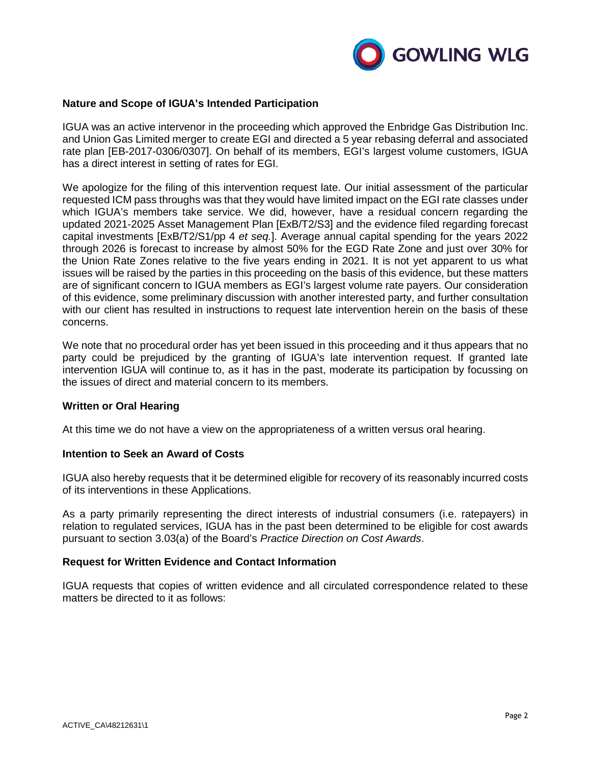

### **Nature and Scope of IGUA's Intended Participation**

IGUA was an active intervenor in the proceeding which approved the Enbridge Gas Distribution Inc. and Union Gas Limited merger to create EGI and directed a 5 year rebasing deferral and associated rate plan [EB-2017-0306/0307]. On behalf of its members, EGI's largest volume customers, IGUA has a direct interest in setting of rates for EGI.

We apologize for the filing of this intervention request late. Our initial assessment of the particular requested ICM pass throughs was that they would have limited impact on the EGI rate classes under which IGUA's members take service. We did, however, have a residual concern regarding the updated 2021-2025 Asset Management Plan [ExB/T2/S3] and the evidence filed regarding forecast capital investments [ExB/T2/S1/pp 4 *et seq.*]. Average annual capital spending for the years 2022 through 2026 is forecast to increase by almost 50% for the EGD Rate Zone and just over 30% for the Union Rate Zones relative to the five years ending in 2021. It is not yet apparent to us what issues will be raised by the parties in this proceeding on the basis of this evidence, but these matters are of significant concern to IGUA members as EGI's largest volume rate payers. Our consideration of this evidence, some preliminary discussion with another interested party, and further consultation with our client has resulted in instructions to request late intervention herein on the basis of these concerns.

We note that no procedural order has yet been issued in this proceeding and it thus appears that no party could be prejudiced by the granting of IGUA's late intervention request. If granted late intervention IGUA will continue to, as it has in the past, moderate its participation by focussing on the issues of direct and material concern to its members.

### **Written or Oral Hearing**

At this time we do not have a view on the appropriateness of a written versus oral hearing.

### **Intention to Seek an Award of Costs**

IGUA also hereby requests that it be determined eligible for recovery of its reasonably incurred costs of its interventions in these Applications.

As a party primarily representing the direct interests of industrial consumers (i.e. ratepayers) in relation to regulated services, IGUA has in the past been determined to be eligible for cost awards pursuant to section 3.03(a) of the Board's *Practice Direction on Cost Awards*.

### **Request for Written Evidence and Contact Information**

IGUA requests that copies of written evidence and all circulated correspondence related to these matters be directed to it as follows: